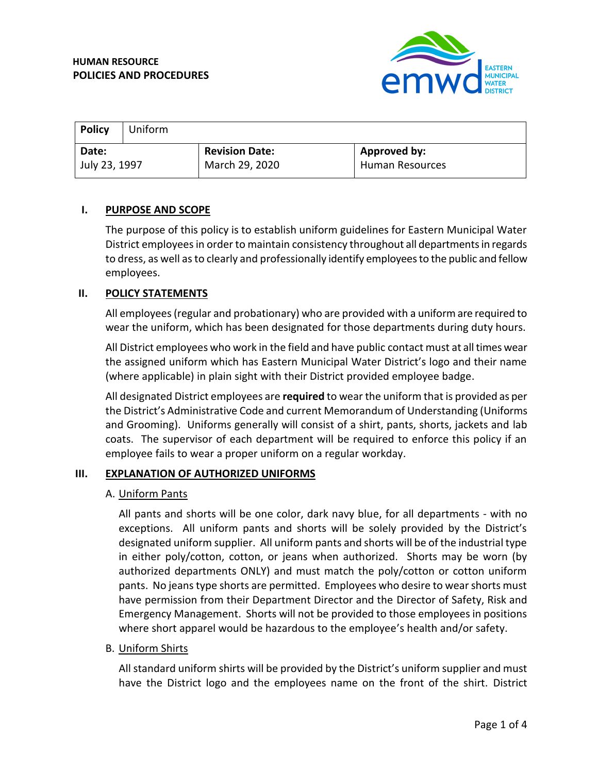

| Policy        | Uniform |                       |                        |
|---------------|---------|-----------------------|------------------------|
| Date:         |         | <b>Revision Date:</b> | Approved by:           |
| July 23, 1997 |         | March 29, 2020        | <b>Human Resources</b> |

#### **I. PURPOSE AND SCOPE**

The purpose of this policy is to establish uniform guidelines for Eastern Municipal Water District employees in order to maintain consistency throughout all departments in regards to dress, as well as to clearly and professionally identify employees to the public and fellow employees.

#### **II. POLICY STATEMENTS**

All employees (regular and probationary) who are provided with a uniform are required to wear the uniform, which has been designated for those departments during duty hours.

All District employees who work in the field and have public contact must at all times wear the assigned uniform which has Eastern Municipal Water District's logo and their name (where applicable) in plain sight with their District provided employee badge.

All designated District employees are **required** to wear the uniform that is provided as per the District's Administrative Code and current Memorandum of Understanding (Uniforms and Grooming). Uniforms generally will consist of a shirt, pants, shorts, jackets and lab coats. The supervisor of each department will be required to enforce this policy if an employee fails to wear a proper uniform on a regular workday.

#### **III. EXPLANATION OF AUTHORIZED UNIFORMS**

#### A. Uniform Pants

All pants and shorts will be one color, dark navy blue, for all departments - with no exceptions. All uniform pants and shorts will be solely provided by the District's designated uniform supplier. All uniform pants and shorts will be of the industrial type in either poly/cotton, cotton, or jeans when authorized. Shorts may be worn (by authorized departments ONLY) and must match the poly/cotton or cotton uniform pants. No jeans type shorts are permitted. Employees who desire to wear shorts must have permission from their Department Director and the Director of Safety, Risk and Emergency Management. Shorts will not be provided to those employees in positions where short apparel would be hazardous to the employee's health and/or safety.

#### B. Uniform Shirts

All standard uniform shirts will be provided by the District's uniform supplier and must have the District logo and the employees name on the front of the shirt. District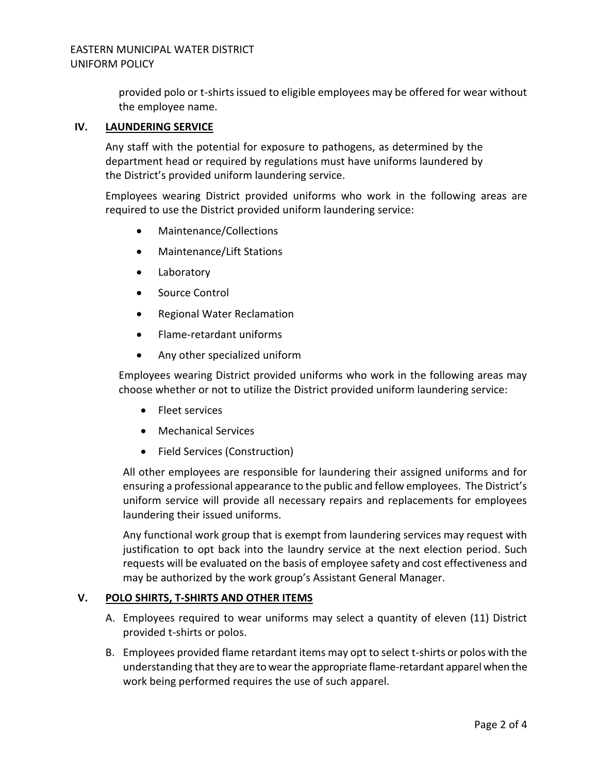provided polo or t-shirts issued to eligible employees may be offered for wear without the employee name.

# **IV. LAUNDERING SERVICE**

Any staff with the potential for exposure to pathogens, as determined by the department head or required by regulations must have uniforms laundered by the District's provided uniform laundering service.

Employees wearing District provided uniforms who work in the following areas are required to use the District provided uniform laundering service:

- Maintenance/Collections
- Maintenance/Lift Stations
- Laboratory
- Source Control
- Regional Water Reclamation
- Flame-retardant uniforms
- Any other specialized uniform

Employees wearing District provided uniforms who work in the following areas may choose whether or not to utilize the District provided uniform laundering service:

- Fleet services
- Mechanical Services
- Field Services (Construction)

All other employees are responsible for laundering their assigned uniforms and for ensuring a professional appearance to the public and fellow employees. The District's uniform service will provide all necessary repairs and replacements for employees laundering their issued uniforms.

Any functional work group that is exempt from laundering services may request with justification to opt back into the laundry service at the next election period. Such requests will be evaluated on the basis of employee safety and cost effectiveness and may be authorized by the work group's Assistant General Manager.

# **V. POLO SHIRTS, T-SHIRTS AND OTHER ITEMS**

- A. Employees required to wear uniforms may select a quantity of eleven (11) District provided t-shirts or polos.
- B. Employees provided flame retardant items may opt to select t-shirts or polos with the understanding that they are to wear the appropriate flame-retardant apparel when the work being performed requires the use of such apparel.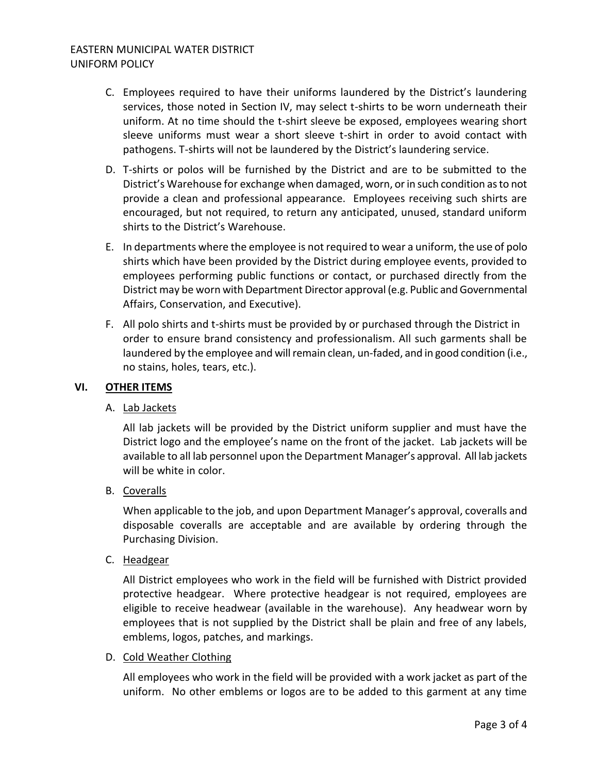# EASTERN MUNICIPAL WATER DISTRICT UNIFORM POLICY

- C. Employees required to have their uniforms laundered by the District's laundering services, those noted in Section IV, may select t-shirts to be worn underneath their uniform. At no time should the t-shirt sleeve be exposed, employees wearing short sleeve uniforms must wear a short sleeve t-shirt in order to avoid contact with pathogens. T-shirts will not be laundered by the District's laundering service.
- D. T-shirts or polos will be furnished by the District and are to be submitted to the District's Warehouse for exchange when damaged, worn, or in such condition as to not provide a clean and professional appearance. Employees receiving such shirts are encouraged, but not required, to return any anticipated, unused, standard uniform shirts to the District's Warehouse.
- E. In departments where the employee is not required to wear a uniform, the use of polo shirts which have been provided by the District during employee events, provided to employees performing public functions or contact, or purchased directly from the District may be worn with Department Director approval (e.g. Public and Governmental Affairs, Conservation, and Executive).
- F. All polo shirts and t-shirts must be provided by or purchased through the District in order to ensure brand consistency and professionalism. All such garments shall be laundered by the employee and will remain clean, un-faded, and in good condition (i.e., no stains, holes, tears, etc.).

# **VI. OTHER ITEMS**

# A. Lab Jackets

All lab jackets will be provided by the District uniform supplier and must have the District logo and the employee's name on the front of the jacket. Lab jackets will be available to all lab personnel upon the Department Manager's approval. All lab jackets will be white in color.

# B. Coveralls

When applicable to the job, and upon Department Manager's approval, coveralls and disposable coveralls are acceptable and are available by ordering through the Purchasing Division.

# C. Headgear

All District employees who work in the field will be furnished with District provided protective headgear. Where protective headgear is not required, employees are eligible to receive headwear (available in the warehouse). Any headwear worn by employees that is not supplied by the District shall be plain and free of any labels, emblems, logos, patches, and markings.

# D. Cold Weather Clothing

All employees who work in the field will be provided with a work jacket as part of the uniform. No other emblems or logos are to be added to this garment at any time